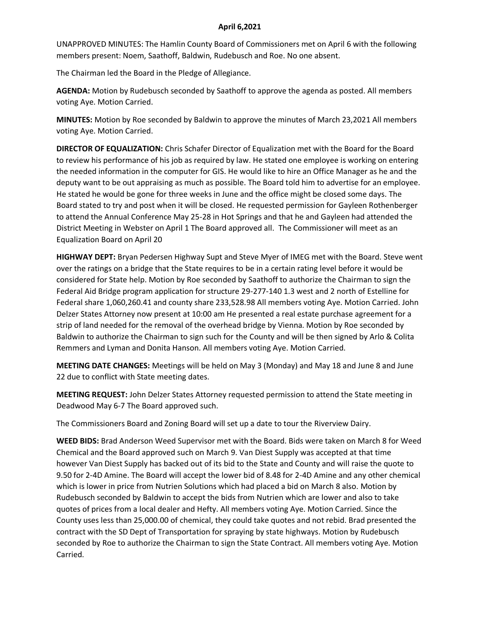## **April 6,2021**

UNAPPROVED MINUTES: The Hamlin County Board of Commissioners met on April 6 with the following members present: Noem, Saathoff, Baldwin, Rudebusch and Roe. No one absent.

The Chairman led the Board in the Pledge of Allegiance.

**AGENDA:** Motion by Rudebusch seconded by Saathoff to approve the agenda as posted. All members voting Aye. Motion Carried.

**MINUTES:** Motion by Roe seconded by Baldwin to approve the minutes of March 23,2021 All members voting Aye. Motion Carried.

**DIRECTOR OF EQUALIZATION:** Chris Schafer Director of Equalization met with the Board for the Board to review his performance of his job as required by law. He stated one employee is working on entering the needed information in the computer for GIS. He would like to hire an Office Manager as he and the deputy want to be out appraising as much as possible. The Board told him to advertise for an employee. He stated he would be gone for three weeks in June and the office might be closed some days. The Board stated to try and post when it will be closed. He requested permission for Gayleen Rothenberger to attend the Annual Conference May 25-28 in Hot Springs and that he and Gayleen had attended the District Meeting in Webster on April 1 The Board approved all. The Commissioner will meet as an Equalization Board on April 20

**HIGHWAY DEPT:** Bryan Pedersen Highway Supt and Steve Myer of IMEG met with the Board. Steve went over the ratings on a bridge that the State requires to be in a certain rating level before it would be considered for State help. Motion by Roe seconded by Saathoff to authorize the Chairman to sign the Federal Aid Bridge program application for structure 29-277-140 1.3 west and 2 north of Estelline for Federal share 1,060,260.41 and county share 233,528.98 All members voting Aye. Motion Carried. John Delzer States Attorney now present at 10:00 am He presented a real estate purchase agreement for a strip of land needed for the removal of the overhead bridge by Vienna. Motion by Roe seconded by Baldwin to authorize the Chairman to sign such for the County and will be then signed by Arlo & Colita Remmers and Lyman and Donita Hanson. All members voting Aye. Motion Carried.

**MEETING DATE CHANGES:** Meetings will be held on May 3 (Monday) and May 18 and June 8 and June 22 due to conflict with State meeting dates.

**MEETING REQUEST:** John Delzer States Attorney requested permission to attend the State meeting in Deadwood May 6-7 The Board approved such.

The Commissioners Board and Zoning Board will set up a date to tour the Riverview Dairy.

**WEED BIDS:** Brad Anderson Weed Supervisor met with the Board. Bids were taken on March 8 for Weed Chemical and the Board approved such on March 9. Van Diest Supply was accepted at that time however Van Diest Supply has backed out of its bid to the State and County and will raise the quote to 9.50 for 2-4D Amine. The Board will accept the lower bid of 8.48 for 2-4D Amine and any other chemical which is lower in price from Nutrien Solutions which had placed a bid on March 8 also. Motion by Rudebusch seconded by Baldwin to accept the bids from Nutrien which are lower and also to take quotes of prices from a local dealer and Hefty. All members voting Aye. Motion Carried. Since the County uses less than 25,000.00 of chemical, they could take quotes and not rebid. Brad presented the contract with the SD Dept of Transportation for spraying by state highways. Motion by Rudebusch seconded by Roe to authorize the Chairman to sign the State Contract. All members voting Aye. Motion Carried.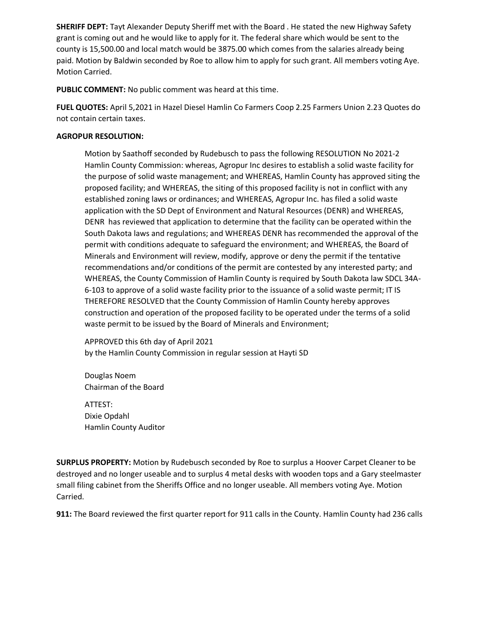**SHERIFF DEPT:** Tayt Alexander Deputy Sheriff met with the Board . He stated the new Highway Safety grant is coming out and he would like to apply for it. The federal share which would be sent to the county is 15,500.00 and local match would be 3875.00 which comes from the salaries already being paid. Motion by Baldwin seconded by Roe to allow him to apply for such grant. All members voting Aye. Motion Carried.

**PUBLIC COMMENT:** No public comment was heard at this time.

**FUEL QUOTES:** April 5,2021 in Hazel Diesel Hamlin Co Farmers Coop 2.25 Farmers Union 2.23 Quotes do not contain certain taxes.

## **AGROPUR RESOLUTION:**

Motion by Saathoff seconded by Rudebusch to pass the following RESOLUTION No 2021-2 Hamlin County Commission: whereas, Agropur Inc desires to establish a solid waste facility for the purpose of solid waste management; and WHEREAS, Hamlin County has approved siting the proposed facility; and WHEREAS, the siting of this proposed facility is not in conflict with any established zoning laws or ordinances; and WHEREAS, Agropur Inc. has filed a solid waste application with the SD Dept of Environment and Natural Resources (DENR) and WHEREAS, DENR has reviewed that application to determine that the facility can be operated within the South Dakota laws and regulations; and WHEREAS DENR has recommended the approval of the permit with conditions adequate to safeguard the environment; and WHEREAS, the Board of Minerals and Environment will review, modify, approve or deny the permit if the tentative recommendations and/or conditions of the permit are contested by any interested party; and WHEREAS, the County Commission of Hamlin County is required by South Dakota law SDCL 34A-6-103 to approve of a solid waste facility prior to the issuance of a solid waste permit; IT IS THEREFORE RESOLVED that the County Commission of Hamlin County hereby approves construction and operation of the proposed facility to be operated under the terms of a solid waste permit to be issued by the Board of Minerals and Environment;

APPROVED this 6th day of April 2021 by the Hamlin County Commission in regular session at Hayti SD

Douglas Noem Chairman of the Board

ATTEST: Dixie Opdahl Hamlin County Auditor

**SURPLUS PROPERTY:** Motion by Rudebusch seconded by Roe to surplus a Hoover Carpet Cleaner to be destroyed and no longer useable and to surplus 4 metal desks with wooden tops and a Gary steelmaster small filing cabinet from the Sheriffs Office and no longer useable. All members voting Aye. Motion Carried.

**911:** The Board reviewed the first quarter report for 911 calls in the County. Hamlin County had 236 calls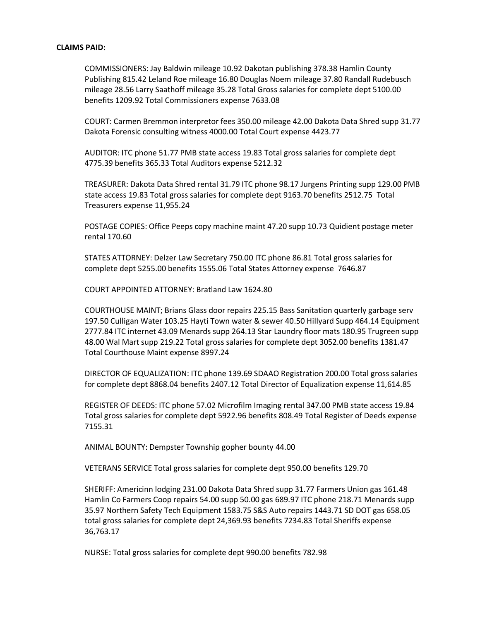## **CLAIMS PAID:**

COMMISSIONERS: Jay Baldwin mileage 10.92 Dakotan publishing 378.38 Hamlin County Publishing 815.42 Leland Roe mileage 16.80 Douglas Noem mileage 37.80 Randall Rudebusch mileage 28.56 Larry Saathoff mileage 35.28 Total Gross salaries for complete dept 5100.00 benefits 1209.92 Total Commissioners expense 7633.08

COURT: Carmen Bremmon interpretor fees 350.00 mileage 42.00 Dakota Data Shred supp 31.77 Dakota Forensic consulting witness 4000.00 Total Court expense 4423.77

AUDITOR: ITC phone 51.77 PMB state access 19.83 Total gross salaries for complete dept 4775.39 benefits 365.33 Total Auditors expense 5212.32

TREASURER: Dakota Data Shred rental 31.79 ITC phone 98.17 Jurgens Printing supp 129.00 PMB state access 19.83 Total gross salaries for complete dept 9163.70 benefits 2512.75 Total Treasurers expense 11,955.24

POSTAGE COPIES: Office Peeps copy machine maint 47.20 supp 10.73 Quidient postage meter rental 170.60

STATES ATTORNEY: Delzer Law Secretary 750.00 ITC phone 86.81 Total gross salaries for complete dept 5255.00 benefits 1555.06 Total States Attorney expense 7646.87

COURT APPOINTED ATTORNEY: Bratland Law 1624.80

COURTHOUSE MAINT; Brians Glass door repairs 225.15 Bass Sanitation quarterly garbage serv 197.50 Culligan Water 103.25 Hayti Town water & sewer 40.50 Hillyard Supp 464.14 Equipment 2777.84 ITC internet 43.09 Menards supp 264.13 Star Laundry floor mats 180.95 Trugreen supp 48.00 Wal Mart supp 219.22 Total gross salaries for complete dept 3052.00 benefits 1381.47 Total Courthouse Maint expense 8997.24

DIRECTOR OF EQUALIZATION: ITC phone 139.69 SDAAO Registration 200.00 Total gross salaries for complete dept 8868.04 benefits 2407.12 Total Director of Equalization expense 11,614.85

REGISTER OF DEEDS: ITC phone 57.02 Microfilm Imaging rental 347.00 PMB state access 19.84 Total gross salaries for complete dept 5922.96 benefits 808.49 Total Register of Deeds expense 7155.31

ANIMAL BOUNTY: Dempster Township gopher bounty 44.00

VETERANS SERVICE Total gross salaries for complete dept 950.00 benefits 129.70

SHERIFF: Americinn lodging 231.00 Dakota Data Shred supp 31.77 Farmers Union gas 161.48 Hamlin Co Farmers Coop repairs 54.00 supp 50.00 gas 689.97 ITC phone 218.71 Menards supp 35.97 Northern Safety Tech Equipment 1583.75 S&S Auto repairs 1443.71 SD DOT gas 658.05 total gross salaries for complete dept 24,369.93 benefits 7234.83 Total Sheriffs expense 36,763.17

NURSE: Total gross salaries for complete dept 990.00 benefits 782.98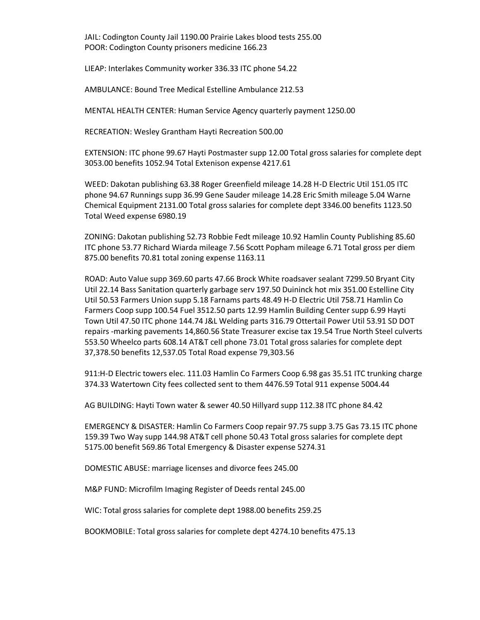JAIL: Codington County Jail 1190.00 Prairie Lakes blood tests 255.00 POOR: Codington County prisoners medicine 166.23

LIEAP: Interlakes Community worker 336.33 ITC phone 54.22

AMBULANCE: Bound Tree Medical Estelline Ambulance 212.53

MENTAL HEALTH CENTER: Human Service Agency quarterly payment 1250.00

RECREATION: Wesley Grantham Hayti Recreation 500.00

EXTENSION: ITC phone 99.67 Hayti Postmaster supp 12.00 Total gross salaries for complete dept 3053.00 benefits 1052.94 Total Extenison expense 4217.61

WEED: Dakotan publishing 63.38 Roger Greenfield mileage 14.28 H-D Electric Util 151.05 ITC phone 94.67 Runnings supp 36.99 Gene Sauder mileage 14.28 Eric Smith mileage 5.04 Warne Chemical Equipment 2131.00 Total gross salaries for complete dept 3346.00 benefits 1123.50 Total Weed expense 6980.19

ZONING: Dakotan publishing 52.73 Robbie Fedt mileage 10.92 Hamlin County Publishing 85.60 ITC phone 53.77 Richard Wiarda mileage 7.56 Scott Popham mileage 6.71 Total gross per diem 875.00 benefits 70.81 total zoning expense 1163.11

ROAD: Auto Value supp 369.60 parts 47.66 Brock White roadsaver sealant 7299.50 Bryant City Util 22.14 Bass Sanitation quarterly garbage serv 197.50 Duininck hot mix 351.00 Estelline City Util 50.53 Farmers Union supp 5.18 Farnams parts 48.49 H-D Electric Util 758.71 Hamlin Co Farmers Coop supp 100.54 Fuel 3512.50 parts 12.99 Hamlin Building Center supp 6.99 Hayti Town Util 47.50 ITC phone 144.74 J&L Welding parts 316.79 Ottertail Power Util 53.91 SD DOT repairs -marking pavements 14,860.56 State Treasurer excise tax 19.54 True North Steel culverts 553.50 Wheelco parts 608.14 AT&T cell phone 73.01 Total gross salaries for complete dept 37,378.50 benefits 12,537.05 Total Road expense 79,303.56

911:H-D Electric towers elec. 111.03 Hamlin Co Farmers Coop 6.98 gas 35.51 ITC trunking charge 374.33 Watertown City fees collected sent to them 4476.59 Total 911 expense 5004.44

AG BUILDING: Hayti Town water & sewer 40.50 Hillyard supp 112.38 ITC phone 84.42

EMERGENCY & DISASTER: Hamlin Co Farmers Coop repair 97.75 supp 3.75 Gas 73.15 ITC phone 159.39 Two Way supp 144.98 AT&T cell phone 50.43 Total gross salaries for complete dept 5175.00 benefit 569.86 Total Emergency & Disaster expense 5274.31

DOMESTIC ABUSE: marriage licenses and divorce fees 245.00

M&P FUND: Microfilm Imaging Register of Deeds rental 245.00

WIC: Total gross salaries for complete dept 1988.00 benefits 259.25

BOOKMOBILE: Total gross salaries for complete dept 4274.10 benefits 475.13